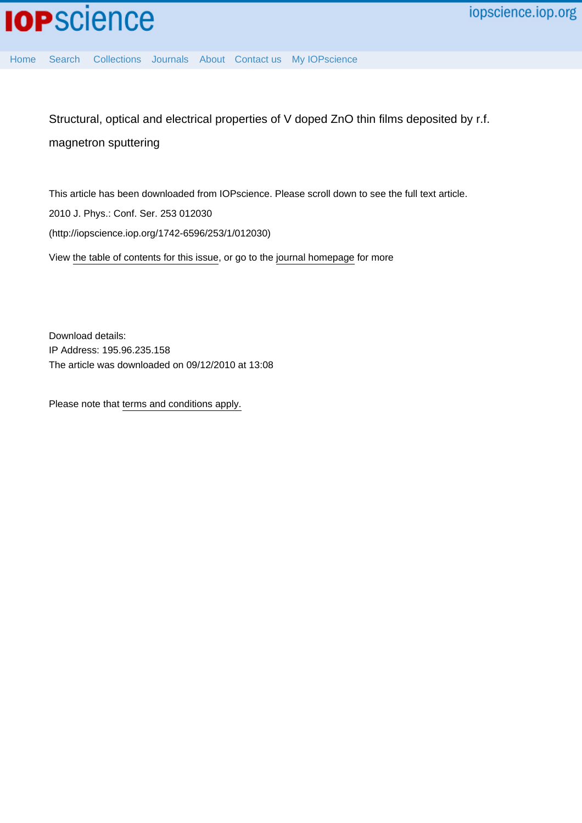

[Home](http://iopscience.iop.org/) [Search](http://iopscience.iop.org/search) [Collections](http://iopscience.iop.org/collections) [Journals](http://iopscience.iop.org/journals) [About](http://iopscience.iop.org/page/aboutioppublishing) [Contact us](http://iopscience.iop.org/contact) [My IOPscience](http://iopscience.iop.org/myiopscience)

Structural, optical and electrical properties of V doped ZnO thin films deposited by r.f. magnetron sputtering

This article has been downloaded from IOPscience. Please scroll down to see the full text article. 2010 J. Phys.: Conf. Ser. 253 012030 (http://iopscience.iop.org/1742-6596/253/1/012030) View [the table of contents for this issue](http://iopscience.iop.org/1742-6596/253/1), or go to the [journal homepage](http://iopscience.iop.org/1742-6596) for more

Download details: IP Address: 195.96.235.158 The article was downloaded on 09/12/2010 at 13:08

Please note that [terms and conditions apply.](http://iopscience.iop.org/page/terms)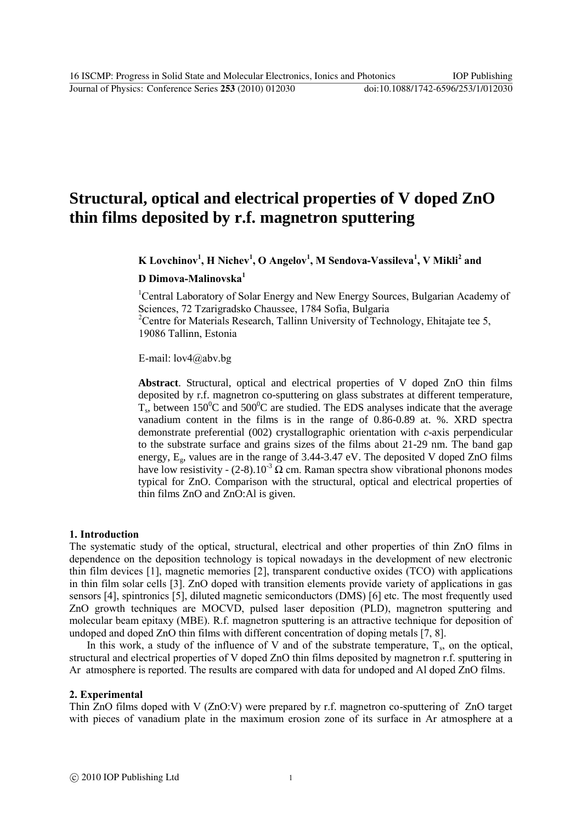Journal of Physics: Conference Series **253** (2010) 012030 doi:10.1088/1742-6596/253/1/012030

# **Structural, optical and electrical properties of V doped ZnO thin films deposited by r.f. magnetron sputtering**

**K Lovchinov<sup>1</sup> , H Nichev<sup>1</sup> , O Angelov<sup>1</sup> , M Sendova-Vassileva<sup>1</sup> , V Mikli<sup>2</sup> and** 

**D Dimova-Malinovska<sup>1</sup>**

<sup>1</sup>Central Laboratory of Solar Energy and New Energy Sources, Bulgarian Academy of Sciences, 72 Tzarigradsko Chaussee, 1784 Sofia, Bulgaria <sup>2</sup>Centre for Materials Research, Tallinn University of Technology, Ehitajate tee 5, 19086 Tallinn, Estonia

E-mail: lov4@abv.bg

**Abstract**. Structural, optical and electrical properties of V doped ZnO thin films deposited by r.f. magnetron co-sputtering on glass substrates at different temperature,  $T_s$ , between 150<sup>o</sup>C and 500<sup>o</sup>C are studied. The EDS analyses indicate that the average vanadium content in the films is in the range of 0.86-0.89 at. %. XRD spectra demonstrate preferential (002) crystallographic orientation with *c*-axis perpendicular to the substrate surface and grains sizes of the films about 21-29 nm. The band gap energy,  $E_g$ , values are in the range of 3.44-3.47 eV. The deposited V doped ZnO films have low resistivity - (2-8).10<sup>-3</sup>  $\Omega$  cm. Raman spectra show vibrational phonons modes typical for ZnO. Comparison with the structural, optical and electrical properties of thin films ZnO and ZnO:Al is given.

### **1. Introduction**

The systematic study of the optical, structural, electrical and other properties of thin ZnO films in dependence on the deposition technology is topical nowadays in the development of new electronic thin film devices [1], magnetic memories [2], transparent conductive oxides (TCO) with applications in thin film solar cells [3]. ZnO doped with transition elements provide variety of applications in gas sensors [4], spintronics [5], diluted magnetic semiconductors (DMS) [6] etc. The most frequently used ZnO growth techniques are MOCVD, pulsed laser deposition (PLD), magnetron sputtering and molecular beam epitaxy (MBE). R.f. magnetron sputtering is an attractive technique for deposition of undoped and doped ZnO thin films with different concentration of doping metals [7, 8].

In this work, a study of the influence of V and of the substrate temperature,  $T_s$ , on the optical, structural and electrical properties of V doped ZnO thin films deposited by magnetron r.f. sputtering in Ar atmosphere is reported. The results are compared with data for undoped and Al doped ZnO films.

### **2. Experimental**

Thin ZnO films doped with V (ZnO:V) were prepared by r.f. magnetron co-sputtering of ZnO target with pieces of vanadium plate in the maximum erosion zone of its surface in Ar atmosphere at a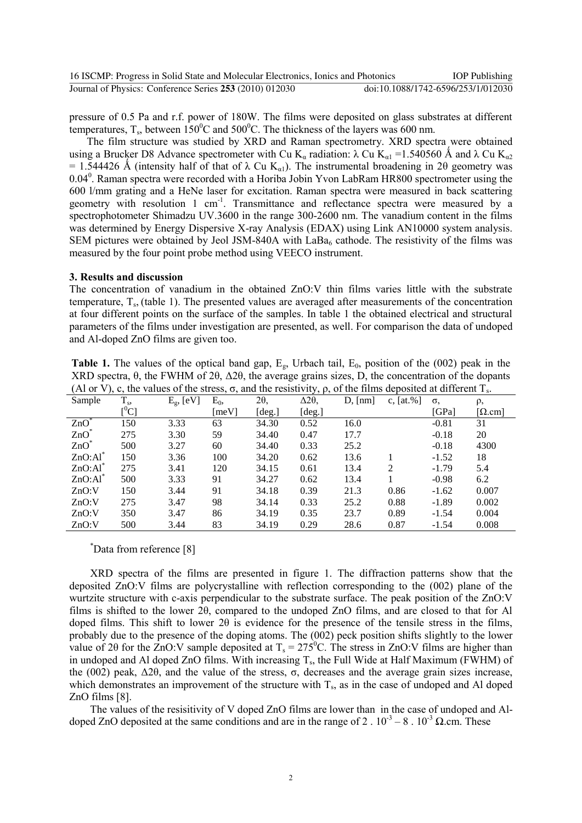| 16 ISCMP: Progress in Solid State and Molecular Electronics, Ionics and Photonics | <b>IOP</b> Publishing              |
|-----------------------------------------------------------------------------------|------------------------------------|
| Journal of Physics: Conference Series 253 (2010) 012030                           | doi:10.1088/1742-6596/253/1/012030 |

pressure of 0.5 Pa and r.f. power of 180W. The films were deposited on glass substrates at different temperatures, T<sub>s</sub>, between 150<sup>0</sup>C and 500<sup>0</sup>C. The thickness of the layers was 600 nm.

The film structure was studied by XRD and Raman spectrometry. XRD spectra were obtained using a Brucker D8 Advance spectrometer with Cu K<sub>α</sub> radiation:  $\lambda$  Cu K<sub>α1</sub> = 1.540560 Å and  $\lambda$  Cu K<sub>α2</sub> = 1.544426 Å (intensity half of that of  $\lambda$  Cu K<sub>a1</sub>). The instrumental broadening in 2θ geometry was 0.04<sup>0</sup>. Raman spectra were recorded with a Horiba Jobin Yvon LabRam HR800 spectrometer using the 600 l/mm grating and a HeNe laser for excitation. Raman spectra were measured in back scattering geometry with resolution 1 cm<sup>-1</sup>. Transmittance and reflectance spectra were measured by a spectrophotometer Shimadzu UV.3600 in the range 300-2600 nm. The vanadium content in the films was determined by Energy Dispersive X-ray Analysis (EDAX) using Link AN10000 system analysis. SEM pictures were obtained by Jeol JSM-840A with  $LaBa<sub>6</sub>$  cathode. The resistivity of the films was measured by the four point probe method using VEECO instrument.

#### **3. Results and discussion**

The concentration of vanadium in the obtained ZnO:V thin films varies little with the substrate temperature,  $T_s$ , (table 1). The presented values are averaged after measurements of the concentration at four different points on the surface of the samples. In table 1 the obtained electrical and structural parameters of the films under investigation are presented, as well. For comparison the data of undoped and Al-doped ZnO films are given too.

| <b>Table 1.</b> The values of the optical band gap, $E_g$ , Urbach tail, $E_0$ , position of the (002) peak in the                |
|-----------------------------------------------------------------------------------------------------------------------------------|
| XRD spectra, $\theta$ , the FWHM of 2 $\theta$ , $\Delta 2\theta$ , the average grains sizes, D, the concentration of the dopants |
| (Al or V), c, the values of the stress, $\sigma$ , and the resistivity, $\rho$ , of the films deposited at different $T_s$ .      |

| Sample              | $T_{s}$ | $E_{g}$ , [eV] | $E_0$ | 20,    | $\Delta 2\theta$ | $D, \text{[nm]}$ | c, $[at. %]$ | $\sigma$ | ρ,              |
|---------------------|---------|----------------|-------|--------|------------------|------------------|--------------|----------|-----------------|
|                     | $[^0C]$ |                | [meV] | [deg.] | [deg.]           |                  |              | [GPa]    | [ $\Omega$ .cm] |
| $ZnO^*$             | 150     | 3.33           | 63    | 34.30  | 0.52             | 16.0             |              | $-0.81$  | 31              |
| $ZnO^*$             | 275     | 3.30           | 59    | 34.40  | 0.47             | 17.7             |              | $-0.18$  | 20              |
| $ZnO^*$             | 500     | 3.27           | 60    | 34.40  | 0.33             | 25.2             |              | $-0.18$  | 4300            |
| $ZnO:Al^{\dagger}$  | 150     | 3.36           | 100   | 34.20  | 0.62             | 13.6             |              | $-1.52$  | 18              |
| ZnO:Al <sup>3</sup> | 275     | 3.41           | 120   | 34.15  | 0.61             | 13.4             | 2            | $-1.79$  | 5.4             |
| $ZnO:Al^{\dagger}$  | 500     | 3.33           | 91    | 34.27  | 0.62             | 13.4             |              | $-0.98$  | 6.2             |
| ZnO:V               | 150     | 3.44           | 91    | 34.18  | 0.39             | 21.3             | 0.86         | $-1.62$  | 0.007           |
| ZnO:V               | 275     | 3.47           | 98    | 34.14  | 0.33             | 25.2             | 0.88         | $-1.89$  | 0.002           |
| ZnO:V               | 350     | 3.47           | 86    | 34.19  | 0.35             | 23.7             | 0.89         | $-1.54$  | 0.004           |
| ZnO:V               | 500     | 3.44           | 83    | 34.19  | 0.29             | 28.6             | 0.87         | $-1.54$  | 0.008           |

#### \*Data from reference [8]

XRD spectra of the films are presented in figure 1. The diffraction patterns show that the deposited ZnO:V films are polycrystalline with reflection corresponding to the (002) plane of the wurtzite structure with c-axis perpendicular to the substrate surface. The peak position of the ZnO:V films is shifted to the lower 2θ, compared to the undoped ZnO films, and are closed to that for Al doped films. This shift to lower 2θ is evidence for the presence of the tensile stress in the films, probably due to the presence of the doping atoms. The (002) peck position shifts slightly to the lower value of 20 for the  $\overline{Z}$ nO:V sample deposited at T<sub>s</sub> = 275<sup>0</sup>C. The stress in ZnO:V films are higher than in undoped and Al doped ZnO films. With increasing  $T_s$ , the Full Wide at Half Maximum (FWHM) of the (002) peak,  $Δ2θ$ , and the value of the stress, σ, decreases and the average grain sizes increase, which demonstrates an improvement of the structure with  $T_s$ , as in the case of undoped and Al doped ZnO films [8].

The values of the resisitivity of V doped ZnO films are lower than in the case of undoped and Aldoped ZnO deposited at the same conditions and are in the range of 2 .  $10^{-3} - 8$  .  $10^{-3} \Omega$  cm. These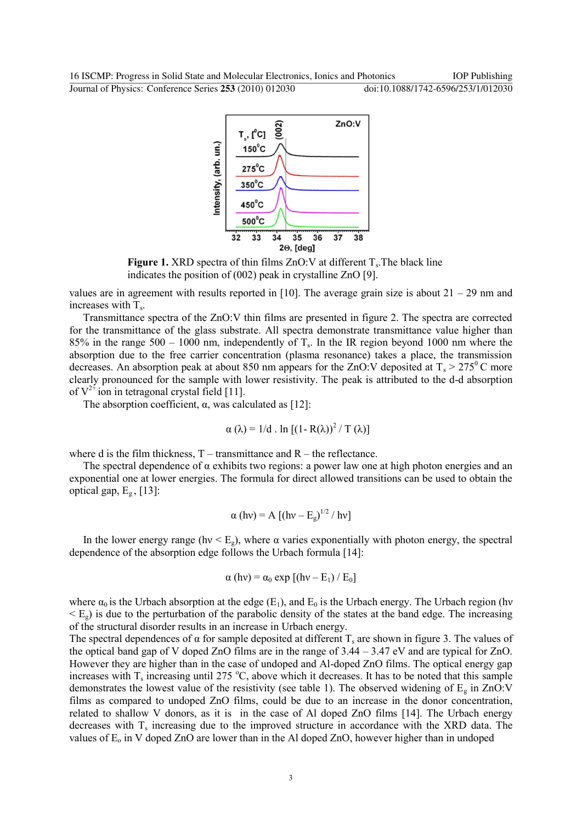Journal of Physics: Conference Series **253** (2010) 012030 doi:10.1088/1742-6596/253/1/012030



**Figure 1.** XRD spectra of thin films  $ZnO:V$  at different  $T_s$ . The black line indicates the position of (002) peak in crystalline ZnO [9].

values are in agreement with results reported in [10]. The average grain size is about  $21 - 29$  nm and increases with  $T_s$ .

Transmittance spectra of the ZnO:V thin films are presented in figure 2. The spectra are corrected for the transmittance of the glass substrate. All spectra demonstrate transmittance value higher than  $85\%$  in the range  $500 - 1000$  nm, independently of T<sub>s</sub>. In the IR region beyond 1000 nm where the absorption due to the free carrier concentration (plasma resonance) takes a place, the transmission decreases. An absorption peak at about 850 nm appears for the ZnO:V deposited at  $T_s > 275^{\circ}$ C more clearly pronounced for the sample with lower resistivity. The peak is attributed to the d-d absorption of  $V^{2+}$  ion in tetragonal crystal field [11].

The absorption coefficient,  $\alpha$ , was calculated as [12]:

$$
\alpha (\lambda) = 1/d \cdot \ln [(1 - R(\lambda))^2 / T(\lambda)]
$$

where d is the film thickness,  $T -$  transmittance and  $R -$  the reflectance.

The spectral dependence of  $\alpha$  exhibits two regions: a power law one at high photon energies and an exponential one at lower energies. The formula for direct allowed transitions can be used to obtain the optical gap,  $E_g$ , [13]:

$$
\alpha \text{ (hv)} = A \text{ [(hv - Eg)}^{1/2} / hv]}
$$

In the lower energy range (hv  $\leq E_{g}$ ), where  $\alpha$  varies exponentially with photon energy, the spectral dependence of the absorption edge follows the Urbach formula [14]:

$$
\alpha(hv) = \alpha_0 \exp [(hv - E_1) / E_0]
$$

where  $\alpha_0$  is the Urbach absorption at the edge (E<sub>1</sub>), and E<sub>0</sub> is the Urbach energy. The Urbach region (hv  $\leq$  E<sub>g</sub>) is due to the perturbation of the parabolic density of the states at the band edge. The increasing of the structural disorder results in an increase in Urbach energy.

The spectral dependences of  $\alpha$  for sample deposited at different  $T_s$  are shown in figure 3. The values of the optical band gap of V doped ZnO films are in the range of 3.44 – 3.47 eV and are typical for ZnO. However they are higher than in the case of undoped and Al-doped ZnO films. The optical energy gap increases with  $T_s$  increasing until 275 °C, above which it decreases. It has to be noted that this sample demonstrates the lowest value of the resistivity (see table 1). The observed widening of  $E<sub>g</sub>$  in ZnO:V films as compared to undoped ZnO films, could be due to an increase in the donor concentration, related to shallow V donors, as it is in the case of Al doped ZnO films [14]. The Urbach energy decreases with  $T_s$  increasing due to the improved structure in accordance with the XRD data. The values of  $E_0$  in V doped ZnO are lower than in the Al doped ZnO, however higher than in undoped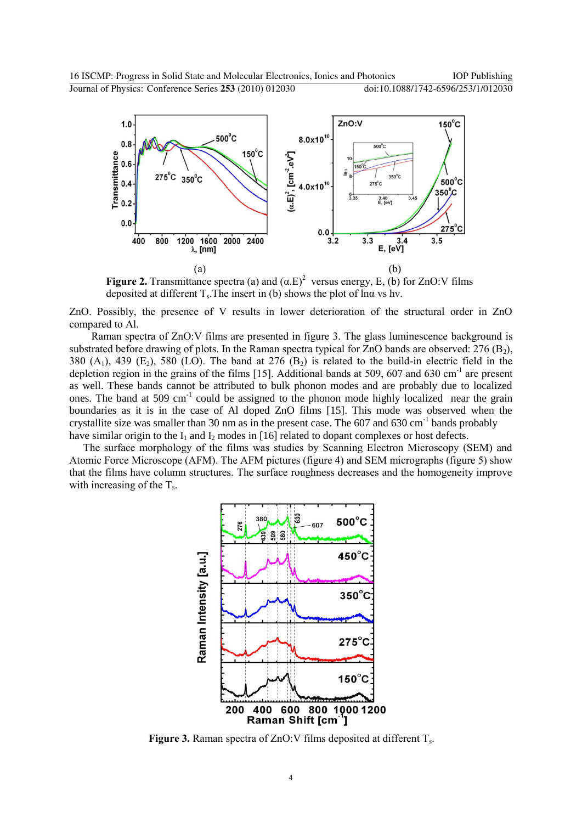

**Figure 2.** Transmittance spectra (a) and  $(\alpha.E)^2$  versus energy, E, (b) for ZnO:V films deposited at different  $T_s$ . The insert in (b) shows the plot of lna vs hv.

ZnO. Possibly, the presence of V results in lower deterioration of the structural order in ZnO compared to Al.

Raman spectra of ZnO:V films are presented in figure 3. The glass luminescence background is substrated before drawing of plots. In the Raman spectra typical for  $ZnO$  bands are observed: 276 (B<sub>2</sub>), 380  $(A_1)$ , 439  $(E_2)$ , 580  $(LO)$ . The band at 276  $(B_2)$  is related to the build-in electric field in the depletion region in the grains of the films [15]. Additional bands at 509, 607 and 630 cm<sup>-1</sup> are present as well. These bands cannot be attributed to bulk phonon modes and are probably due to localized ones. The band at 509  $cm^{-1}$  could be assigned to the phonon mode highly localized near the grain boundaries as it is in the case of Al doped ZnO films [15]. This mode was observed when the crystallite size was smaller than 30 nm as in the present case. The  $607$  and  $630$  cm<sup>-1</sup> bands probably have similar origin to the  $I_1$  and  $I_2$  modes in [16] related to dopant complexes or host defects.

The surface morphology of the films was studies by Scanning Electron Microscopy (SEM) and Atomic Force Microscope (AFM). The AFM pictures (figure 4) and SEM micrographs (figure 5) show that the films have column structures. The surface roughness decreases and the homogeneity improve with increasing of the  $T_s$ .



Figure 3. Raman spectra of ZnO: V films deposited at different T<sub>s</sub>.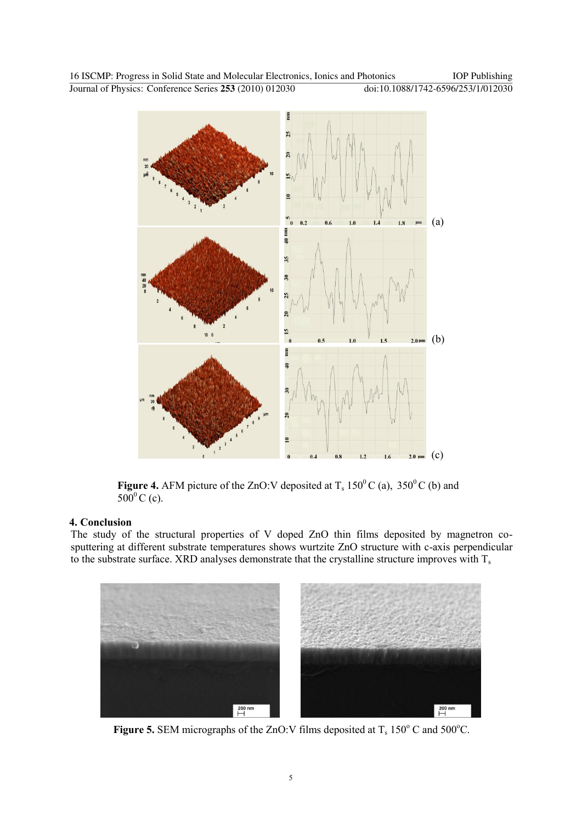

**Figure 4.** AFM picture of the ZnO:V deposited at  $T_s$  150<sup>0</sup>C (a), 350<sup>0</sup>C (b) and  $500^{\circ}$  C (c).

# **4. Conclusion**

The study of the structural properties of V doped ZnO thin films deposited by magnetron cosputtering at different substrate temperatures shows wurtzite ZnO structure with c-axis perpendicular to the substrate surface. XRD analyses demonstrate that the crystalline structure improves with  $T_s$ 



**Figure 5.** SEM micrographs of the ZnO:V films deposited at  $T_s$  150 $\degree$ C and 500 $\degree$ C.